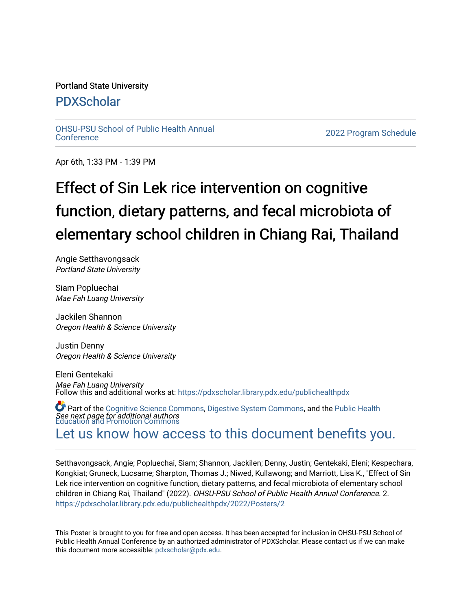#### Portland State University

## [PDXScholar](https://pdxscholar.library.pdx.edu/)

[OHSU-PSU School of Public Health Annual](https://pdxscholar.library.pdx.edu/publichealthpdx)

2022 Program Schedule

Apr 6th, 1:33 PM - 1:39 PM

# Effect of Sin Lek rice intervention on cognitive function, dietary patterns, and fecal microbiota of elementary school children in Chiang Rai, Thailand

Angie Setthavongsack Portland State University

Siam Popluechai Mae Fah Luang University

Jackilen Shannon Oregon Health & Science University

Justin Denny Oregon Health & Science University

Eleni Gentekaki Mae Fah Luang University Follow this and additional works at: [https://pdxscholar.library.pdx.edu/publichealthpdx](https://pdxscholar.library.pdx.edu/publichealthpdx?utm_source=pdxscholar.library.pdx.edu%2Fpublichealthpdx%2F2022%2FPosters%2F2&utm_medium=PDF&utm_campaign=PDFCoverPages) 

See next page for additional authors Part of the [Cognitive Science Commons,](http://network.bepress.com/hgg/discipline/1437?utm_source=pdxscholar.library.pdx.edu%2Fpublichealthpdx%2F2022%2FPosters%2F2&utm_medium=PDF&utm_campaign=PDFCoverPages) [Digestive System Commons](http://network.bepress.com/hgg/discipline/925?utm_source=pdxscholar.library.pdx.edu%2Fpublichealthpdx%2F2022%2FPosters%2F2&utm_medium=PDF&utm_campaign=PDFCoverPages), and the [Public Health](http://network.bepress.com/hgg/discipline/743?utm_source=pdxscholar.library.pdx.edu%2Fpublichealthpdx%2F2022%2FPosters%2F2&utm_medium=PDF&utm_campaign=PDFCoverPages) [Education and Promotion Commons](http://network.bepress.com/hgg/discipline/743?utm_source=pdxscholar.library.pdx.edu%2Fpublichealthpdx%2F2022%2FPosters%2F2&utm_medium=PDF&utm_campaign=PDFCoverPages)

# [Let us know how access to this document benefits you.](http://library.pdx.edu/services/pdxscholar-services/pdxscholar-feedback/)

Setthavongsack, Angie; Popluechai, Siam; Shannon, Jackilen; Denny, Justin; Gentekaki, Eleni; Kespechara, Kongkiat; Gruneck, Lucsame; Sharpton, Thomas J.; Niwed, Kullawong; and Marriott, Lisa K., "Effect of Sin Lek rice intervention on cognitive function, dietary patterns, and fecal microbiota of elementary school children in Chiang Rai, Thailand" (2022). OHSU-PSU School of Public Health Annual Conference. 2. [https://pdxscholar.library.pdx.edu/publichealthpdx/2022/Posters/2](https://pdxscholar.library.pdx.edu/publichealthpdx/2022/Posters/2?utm_source=pdxscholar.library.pdx.edu%2Fpublichealthpdx%2F2022%2FPosters%2F2&utm_medium=PDF&utm_campaign=PDFCoverPages)

This Poster is brought to you for free and open access. It has been accepted for inclusion in OHSU-PSU School of Public Health Annual Conference by an authorized administrator of PDXScholar. Please contact us if we can make this document more accessible: [pdxscholar@pdx.edu.](mailto:pdxscholar@pdx.edu)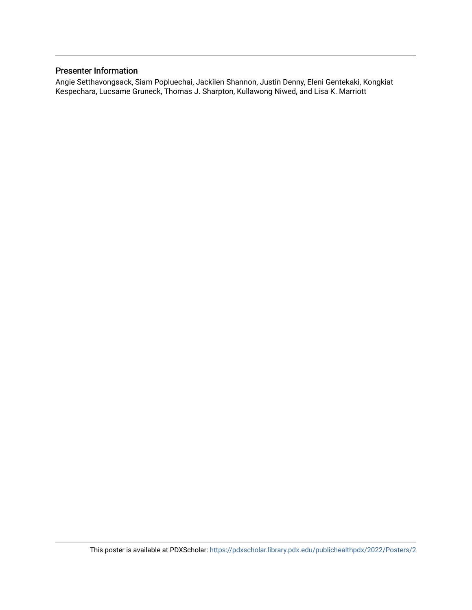### Presenter Information

Angie Setthavongsack, Siam Popluechai, Jackilen Shannon, Justin Denny, Eleni Gentekaki, Kongkiat Kespechara, Lucsame Gruneck, Thomas J. Sharpton, Kullawong Niwed, and Lisa K. Marriott